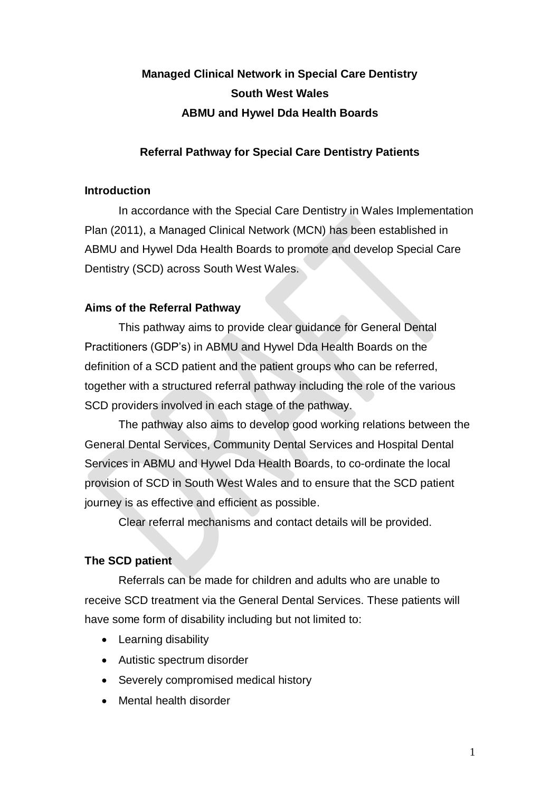# **Managed Clinical Network in Special Care Dentistry South West Wales ABMU and Hywel Dda Health Boards**

## **Referral Pathway for Special Care Dentistry Patients**

### **Introduction**

In accordance with the Special Care Dentistry in Wales Implementation Plan (2011), a Managed Clinical Network (MCN) has been established in ABMU and Hywel Dda Health Boards to promote and develop Special Care Dentistry (SCD) across South West Wales.

### **Aims of the Referral Pathway**

This pathway aims to provide clear guidance for General Dental Practitioners (GDP's) in ABMU and Hywel Dda Health Boards on the definition of a SCD patient and the patient groups who can be referred, together with a structured referral pathway including the role of the various SCD providers involved in each stage of the pathway.

The pathway also aims to develop good working relations between the General Dental Services, Community Dental Services and Hospital Dental Services in ABMU and Hywel Dda Health Boards, to co-ordinate the local provision of SCD in South West Wales and to ensure that the SCD patient journey is as effective and efficient as possible.

Clear referral mechanisms and contact details will be provided.

### **The SCD patient**

Referrals can be made for children and adults who are unable to receive SCD treatment via the General Dental Services. These patients will have some form of disability including but not limited to:

- Learning disability
- Autistic spectrum disorder
- Severely compromised medical history
- Mental health disorder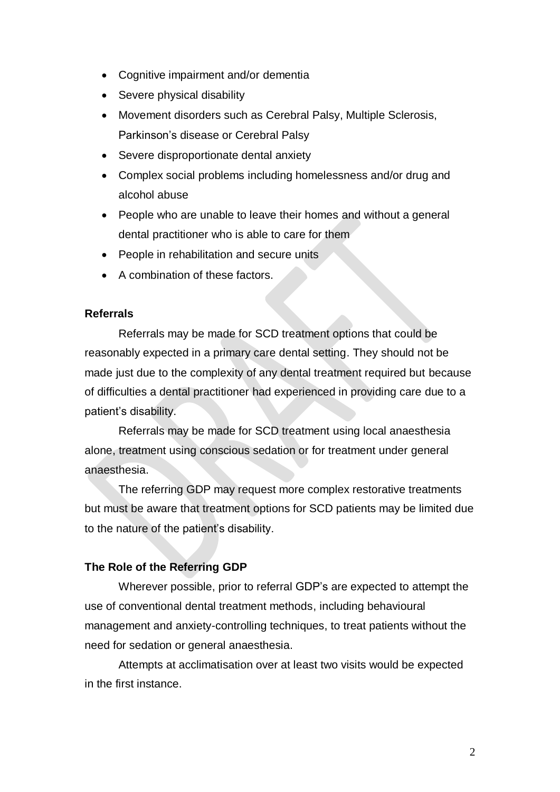- Cognitive impairment and/or dementia
- Severe physical disability
- Movement disorders such as Cerebral Palsy, Multiple Sclerosis, Parkinson's disease or Cerebral Palsy
- Severe disproportionate dental anxiety
- Complex social problems including homelessness and/or drug and alcohol abuse
- People who are unable to leave their homes and without a general dental practitioner who is able to care for them
- People in rehabilitation and secure units
- A combination of these factors.

#### **Referrals**

Referrals may be made for SCD treatment options that could be reasonably expected in a primary care dental setting. They should not be made just due to the complexity of any dental treatment required but because of difficulties a dental practitioner had experienced in providing care due to a patient's disability.

Referrals may be made for SCD treatment using local anaesthesia alone, treatment using conscious sedation or for treatment under general anaesthesia.

The referring GDP may request more complex restorative treatments but must be aware that treatment options for SCD patients may be limited due to the nature of the patient's disability.

### **The Role of the Referring GDP**

Wherever possible, prior to referral GDP's are expected to attempt the use of conventional dental treatment methods, including behavioural management and anxiety-controlling techniques, to treat patients without the need for sedation or general anaesthesia.

Attempts at acclimatisation over at least two visits would be expected in the first instance.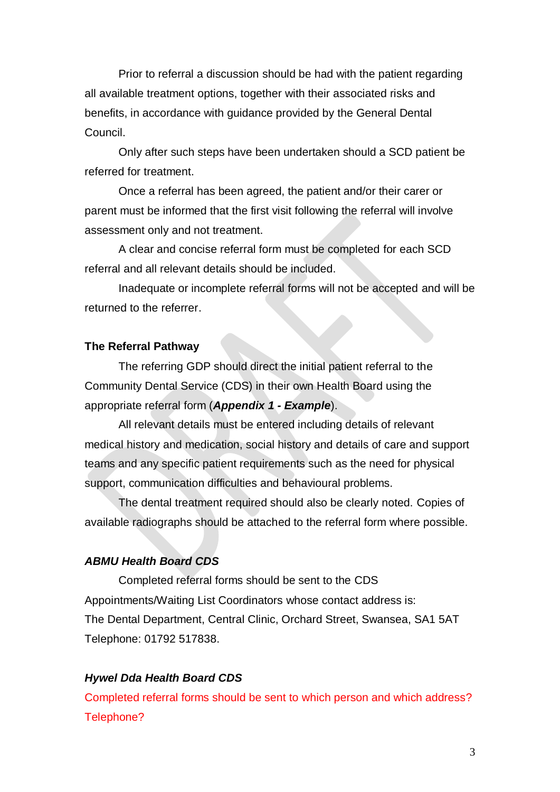Prior to referral a discussion should be had with the patient regarding all available treatment options, together with their associated risks and benefits, in accordance with guidance provided by the General Dental Council.

Only after such steps have been undertaken should a SCD patient be referred for treatment.

Once a referral has been agreed, the patient and/or their carer or parent must be informed that the first visit following the referral will involve assessment only and not treatment.

A clear and concise referral form must be completed for each SCD referral and all relevant details should be included.

Inadequate or incomplete referral forms will not be accepted and will be returned to the referrer.

### **The Referral Pathway**

The referring GDP should direct the initial patient referral to the Community Dental Service (CDS) in their own Health Board using the appropriate referral form (*Appendix 1 - Example*).

All relevant details must be entered including details of relevant medical history and medication, social history and details of care and support teams and any specific patient requirements such as the need for physical support, communication difficulties and behavioural problems.

The dental treatment required should also be clearly noted. Copies of available radiographs should be attached to the referral form where possible.

## *ABMU Health Board CDS*

Completed referral forms should be sent to the CDS Appointments/Waiting List Coordinators whose contact address is: The Dental Department, Central Clinic, Orchard Street, Swansea, SA1 5AT Telephone: 01792 517838.

#### *Hywel Dda Health Board CDS*

Completed referral forms should be sent to which person and which address? Telephone?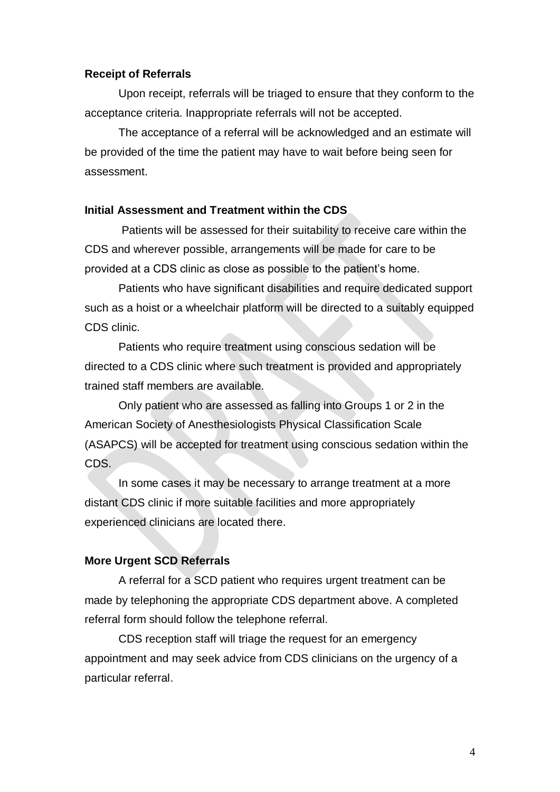#### **Receipt of Referrals**

Upon receipt, referrals will be triaged to ensure that they conform to the acceptance criteria. Inappropriate referrals will not be accepted.

The acceptance of a referral will be acknowledged and an estimate will be provided of the time the patient may have to wait before being seen for assessment.

#### **Initial Assessment and Treatment within the CDS**

Patients will be assessed for their suitability to receive care within the CDS and wherever possible, arrangements will be made for care to be provided at a CDS clinic as close as possible to the patient's home.

Patients who have significant disabilities and require dedicated support such as a hoist or a wheelchair platform will be directed to a suitably equipped CDS clinic.

Patients who require treatment using conscious sedation will be directed to a CDS clinic where such treatment is provided and appropriately trained staff members are available.

Only patient who are assessed as falling into Groups 1 or 2 in the American Society of Anesthesiologists Physical Classification Scale (ASAPCS) will be accepted for treatment using conscious sedation within the CDS.

In some cases it may be necessary to arrange treatment at a more distant CDS clinic if more suitable facilities and more appropriately experienced clinicians are located there.

## **More Urgent SCD Referrals**

A referral for a SCD patient who requires urgent treatment can be made by telephoning the appropriate CDS department above. A completed referral form should follow the telephone referral.

CDS reception staff will triage the request for an emergency appointment and may seek advice from CDS clinicians on the urgency of a particular referral.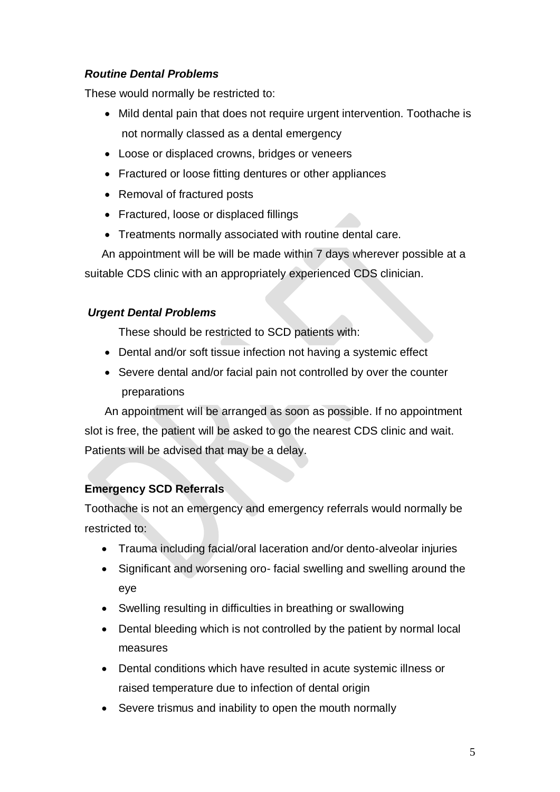## *Routine Dental Problems*

These would normally be restricted to:

- Mild dental pain that does not require urgent intervention. Toothache is not normally classed as a dental emergency
- Loose or displaced crowns, bridges or veneers
- Fractured or loose fitting dentures or other appliances
- Removal of fractured posts
- Fractured, loose or displaced fillings
- Treatments normally associated with routine dental care.

An appointment will be will be made within 7 days wherever possible at a suitable CDS clinic with an appropriately experienced CDS clinician.

## *Urgent Dental Problems*

These should be restricted to SCD patients with:

- Dental and/or soft tissue infection not having a systemic effect
- Severe dental and/or facial pain not controlled by over the counter preparations

An appointment will be arranged as soon as possible. If no appointment slot is free, the patient will be asked to go the nearest CDS clinic and wait. Patients will be advised that may be a delay.

## **Emergency SCD Referrals**

Toothache is not an emergency and emergency referrals would normally be restricted to:

- Trauma including facial/oral laceration and/or dento-alveolar injuries
- Significant and worsening oro- facial swelling and swelling around the eye
- Swelling resulting in difficulties in breathing or swallowing
- Dental bleeding which is not controlled by the patient by normal local measures
- Dental conditions which have resulted in acute systemic illness or raised temperature due to infection of dental origin
- Severe trismus and inability to open the mouth normally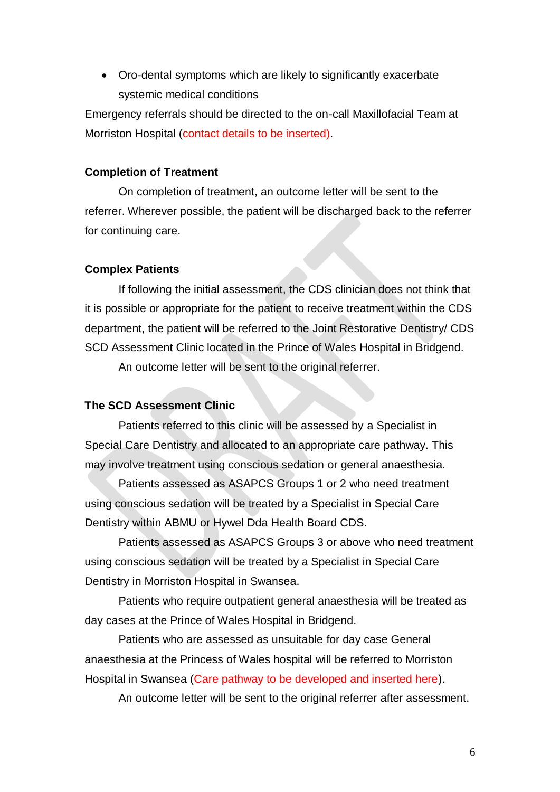Oro-dental symptoms which are likely to significantly exacerbate systemic medical conditions

Emergency referrals should be directed to the on-call Maxillofacial Team at Morriston Hospital (contact details to be inserted).

#### **Completion of Treatment**

On completion of treatment, an outcome letter will be sent to the referrer. Wherever possible, the patient will be discharged back to the referrer for continuing care.

#### **Complex Patients**

If following the initial assessment, the CDS clinician does not think that it is possible or appropriate for the patient to receive treatment within the CDS department, the patient will be referred to the Joint Restorative Dentistry/ CDS SCD Assessment Clinic located in the Prince of Wales Hospital in Bridgend.

An outcome letter will be sent to the original referrer.

#### **The SCD Assessment Clinic**

Patients referred to this clinic will be assessed by a Specialist in Special Care Dentistry and allocated to an appropriate care pathway. This may involve treatment using conscious sedation or general anaesthesia.

Patients assessed as ASAPCS Groups 1 or 2 who need treatment using conscious sedation will be treated by a Specialist in Special Care Dentistry within ABMU or Hywel Dda Health Board CDS.

Patients assessed as ASAPCS Groups 3 or above who need treatment using conscious sedation will be treated by a Specialist in Special Care Dentistry in Morriston Hospital in Swansea.

Patients who require outpatient general anaesthesia will be treated as day cases at the Prince of Wales Hospital in Bridgend.

Patients who are assessed as unsuitable for day case General anaesthesia at the Princess of Wales hospital will be referred to Morriston Hospital in Swansea (Care pathway to be developed and inserted here).

An outcome letter will be sent to the original referrer after assessment.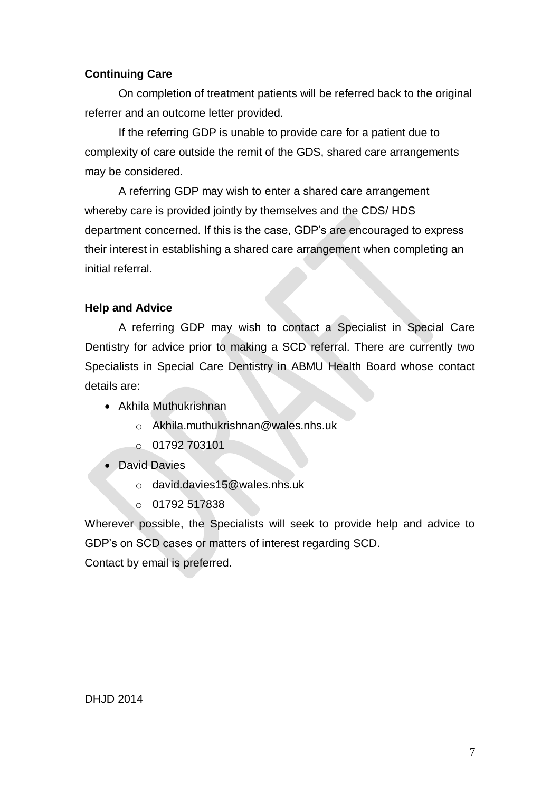## **Continuing Care**

On completion of treatment patients will be referred back to the original referrer and an outcome letter provided.

If the referring GDP is unable to provide care for a patient due to complexity of care outside the remit of the GDS, shared care arrangements may be considered.

A referring GDP may wish to enter a shared care arrangement whereby care is provided jointly by themselves and the CDS/ HDS department concerned. If this is the case, GDP's are encouraged to express their interest in establishing a shared care arrangement when completing an initial referral.

### **Help and Advice**

A referring GDP may wish to contact a Specialist in Special Care Dentistry for advice prior to making a SCD referral. There are currently two Specialists in Special Care Dentistry in ABMU Health Board whose contact details are:

- Akhila Muthukrishnan
	- o Akhila.muthukrishnan@wales.nhs.uk
	- o 01792 703101
- David Davies
	- o david.davies15@wales.nhs.uk
	- $O$  01792 517838

Wherever possible, the Specialists will seek to provide help and advice to GDP's on SCD cases or matters of interest regarding SCD.

Contact by email is preferred.

DHJD 2014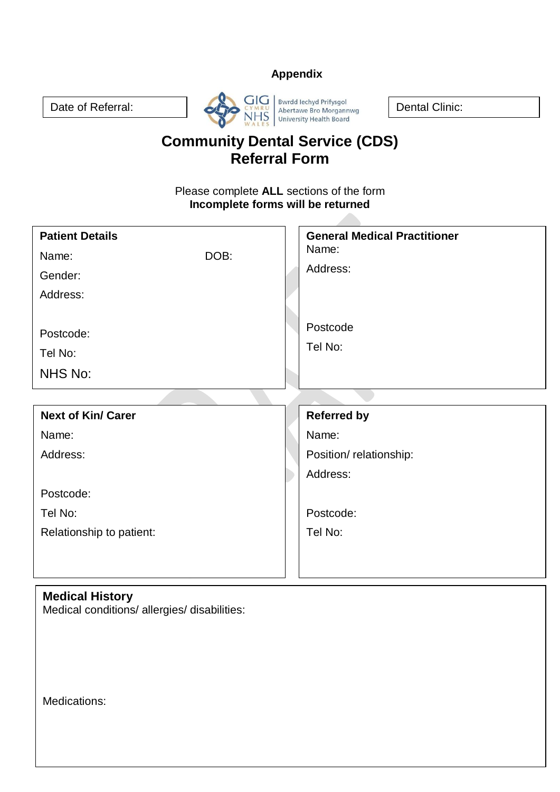## **Appendix**



# **Community Dental Service (CDS) Referral Form**

Please complete **ALL** sections of the form **Incomplete forms will be returned**

| <b>Patient Details</b>    |      | <b>General Medical Practitioner</b> |
|---------------------------|------|-------------------------------------|
| Name:                     | DOB: | Name:                               |
| Gender:                   |      | Address:                            |
| Address:                  |      |                                     |
|                           |      |                                     |
| Postcode:                 |      | Postcode                            |
| Tel No:                   |      | Tel No:                             |
| NHS No:                   |      |                                     |
|                           |      |                                     |
|                           |      |                                     |
| <b>Next of Kin/ Carer</b> |      | <b>Referred by</b>                  |
| Name:                     |      | Name:                               |
| Address:                  |      | Position/relationship:              |
|                           |      | Address:                            |
| Postcode:                 |      |                                     |
| Tel No:                   |      | Postcode:                           |
| Relationship to patient:  |      | Tel No:                             |
|                           |      |                                     |
|                           |      |                                     |

## **Medical History**

Medical conditions/ allergies/ disabilities:

Medications: